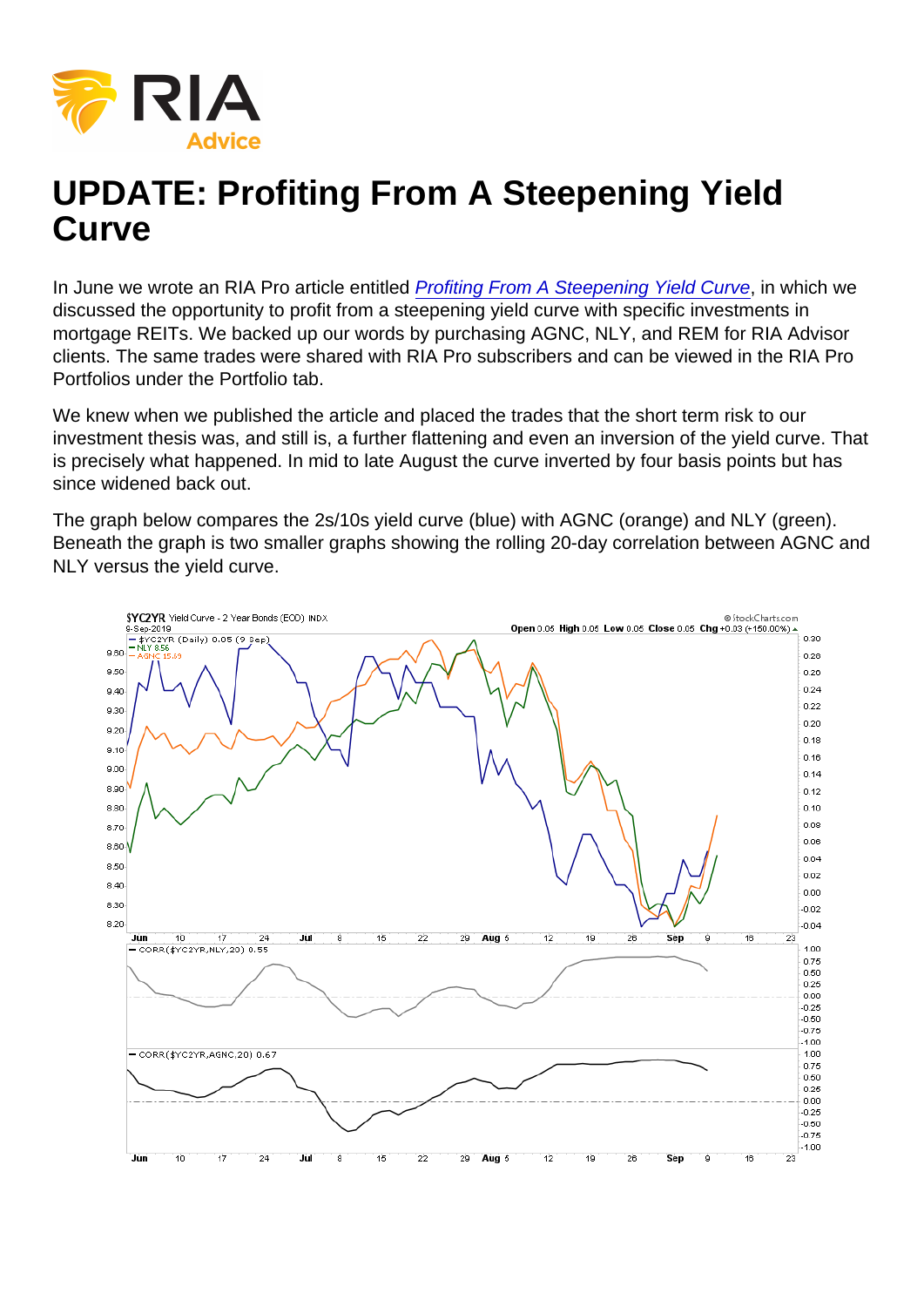## UPDATE: Profiting From A Steepening Yield **Curve**

In June we wrote an RIA Pro article entitled [Profiting From A Steepening Yield Curve,](https://realinvestmentadvice.com/profiting-from-a-steepening-yield-curve/) in which we discussed the opportunity to profit from a steepening yield curve with specific investments in mortgage REITs. We backed up our words by purchasing AGNC, NLY, and REM for RIA Advisor clients. The same trades were shared with RIA Pro subscribers and can be viewed in the RIA Pro Portfolios under the Portfolio tab.

We knew when we published the article and placed the trades that the short term risk to our investment thesis was, and still is, a further flattening and even an inversion of the yield curve. That is precisely what happened. In mid to late August the curve inverted by four basis points but has since widened back out.

The graph below compares the 2s/10s yield curve (blue) with AGNC (orange) and NLY (green). Beneath the graph is two smaller graphs showing the rolling 20-day correlation between AGNC and NLY versus the yield curve.